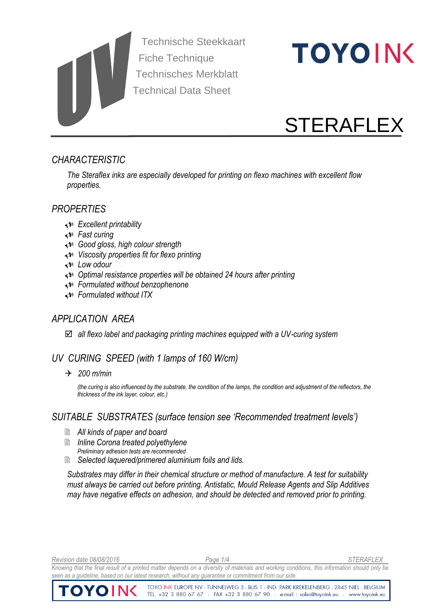Technische Steekkaart Fiche Technique Technisches Merkblatt Technical Data Sheet

# **TOYOING**

## **STERAFLEX**

#### *CHARACTERISTIC*

*The Steraflex inks are especially developed for printing on flexo machines with excellent flow properties.*

#### *PROPERTIES*

- *Excellent printability*
- *Fast curing*
- *Good gloss, high colour strength*
- *Viscosity properties fit for flexo printing*
- *Low odour*
- *Optimal resistance properties will be obtained 24 hours after printing*
- *Formulated without benzophenone*
- *Formulated without ITX*

#### *APPLICATION AREA*

*all flexo label and packaging printing machines equipped with a UV-curing system*

#### *UV CURING SPEED (with 1 lamps of 160 W/cm)*

*200 m/min*

*(the curing is also influenced by the substrate, the condition of the lamps, the condition and adjustment of the reflectors, the thickness of the ink layer, colour, etc.)*

#### *SUITABLE SUBSTRATES (surface tension see 'Recommended treatment levels')*

- *All kinds of paper and board*
- *Inline Corona treated polyethylene Preliminary adhesion tests are recommended*
- *Selected laquered/primered aluminium foils and lids.*

*Substrates may differ in their chemical structure or method of manufacture. A test for suitability must always be carried out before printing. Antistatic, Mould Release Agents and Slip Additives may have negative effects on adhesion, and should be detected and removed prior to printing.*

*Revision date 08/08/2016 Page 1/4 STERAFLEX*

*Knowing that the final result of a printed matter depends on a diversity of materials and working conditions, this information should only be seen as a guideline, based on our latest research, without any guarantee or commitment from our side.* 

> TOYO INK EUROPE NV - TUNNELWEG 3 - BUS 1 - IND. PARK KREKELENBERG - 2845 NIEL - BELGIUM TEL. +32 3 880 67 67 - FAX +32 3 880 67 90 - e-mail : sales@toyoink.eu - www.toyoink.eu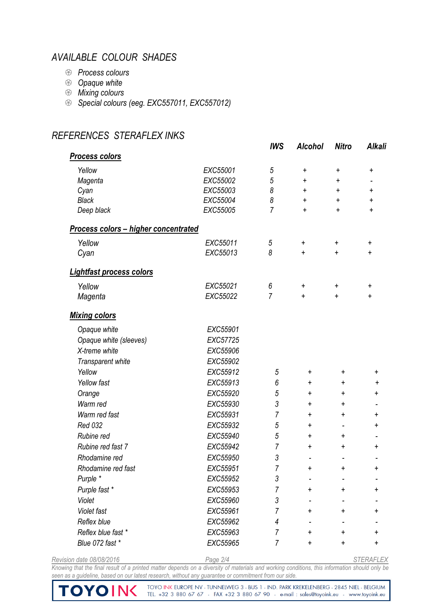#### *AVAILABLE COLOUR SHADES*

*REFERENCES STERAFLEX INKS*

- *Process colours*
- *Opaque white*
- *Mixing colours*
- *Special colours (eeg. EXC557011, EXC557012)*

#### *IWS Alcohol Nitro Alkali Process colors Yellow EXC55001 5 + + + Magenta EXC55002 5 + + - Cyan EXC55003 8 + + + Black EXC55004 8 + + + Deep black EXC55005 7 + + + Process colors – higher concentrated Yellow EXC55011 5 + + + Cyan EXC55013 8 + + + Lightfast process colors Yellow EXC55021 6 + + + Magenta EXC55022 7 + + + Mixing colors Opaque white EXC55901 Opaque white (sleeves) EXC57725 X-treme white EXC55906 Transparent white EXC55902 Yellow Yellow fast EXC55912 EXC55913 5 6 + + + + + + Orange EXC55920 5 + + + Warm red EXC55930 3 + + - Warm red fast EXC55931 7 + + + Red 032 EXC55932 5 + - + Rubine red EXC55940 5 + + - Rubine red fast 7 EXC55942 7 + + + Rhodamine red EXC55950 3 - - - Rhodamine red fast EXC55951 7 + + + Purple \* EXC55952 3 - - - Purple fast \* EXC55953 7 + + + Violet EXC55960 3 - - - Violet fast EXC55961 7 + + + Reflex blue EXC55962 4 - - - Reflex blue fast \* EXC55963 7 + + + Blue 072 fast \* EXC55965 7 + + +*

*Revision date 08/08/2016 Page 2/4 STERAFLEX*

Knowing that the final result of a printed matter depends on a diversity of materials and working conditions, this information should only be *seen as a guideline, based on our latest research, without any guarantee or commitment from our side.* 

TOYOINK

TOYO INK EUROPE NV - TUNNELWEG 3 - BUS 1 - IND. PARK KREKELENBERG - 2845 NIEL - BELGIUM TEL. +32 3 880 67 67 - FAX +32 3 880 67 90 - e-mail : sales@toyoink.eu - www.toyoink.eu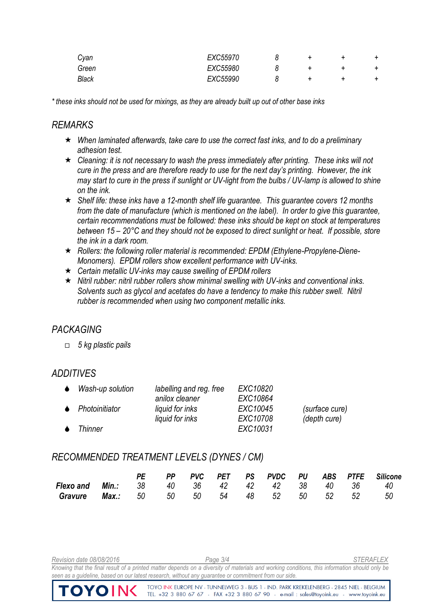| Cyan         | EXC55970 |  |  |
|--------------|----------|--|--|
| Green        | EXC55980 |  |  |
| <b>Black</b> | EXC55990 |  |  |

*\* these inks should not be used for mixings, as they are already built up out of other base inks*

#### *REMARKS*

- *When laminated afterwards, take care to use the correct fast inks, and to do a preliminary adhesion test.*
- *Cleaning: it is not necessary to wash the press immediately after printing. These inks will not cure in the press and are therefore ready to use for the next day's printing. However, the ink may start to cure in the press if sunlight or UV-light from the bulbs / UV-lamp is allowed to shine on the ink.*
- *Shelf life: these inks have a 12-month shelf life guarantee. This guarantee covers 12 months from the date of manufacture (which is mentioned on the label). In order to give this guarantee, certain recommendations must be followed: these inks should be kept on stock at temperatures between 15 – 20°C and they should not be exposed to direct sunlight or heat. If possible, store the ink in a dark room.*
- *Rollers: the following roller material is recommended: EPDM (Ethylene-Propylene-Diene-Monomers). EPDM rollers show excellent performance with UV-inks.*
- *Certain metallic UV-inks may cause swelling of EPDM rollers*
- *Nitril rubber: nitril rubber rollers show minimal swelling with UV-inks and conventional inks. Solvents such as glycol and acetates do have a tendency to make this rubber swell. Nitril rubber is recommended when using two component metallic inks.*

### *PACKAGING*

*5 kg plastic pails*

### *ADDITIVES*

| Wash-up solution         | labelling and reg. free | EXC10820 |                |
|--------------------------|-------------------------|----------|----------------|
|                          | anilox cleaner          | EXC10864 |                |
| $\bullet$ Photoinitiator | liquid for inks         | EXC10045 | (surface cure) |
|                          | liquid for inks         | EXC10708 | (depth cure)   |
| <b>Thinner</b>           |                         | EXC10031 |                |

#### *RECOMMENDED TREATMENT LEVELS (DYNES / CM)*

|                                                      |  |  |  |  |  | PE PP PVC PET PS PVDC PU ABS PTFE Silicone |
|------------------------------------------------------|--|--|--|--|--|--------------------------------------------|
| <b>Flexo and Min.:</b> 38 40 36 42 42 42 38 40 36 40 |  |  |  |  |  |                                            |
| <b>Gravure Max.:</b> 50 50 50 54 48 52 50 52 52 50   |  |  |  |  |  |                                            |

*Revision date 08/08/2016 Page 3/4 STERAFLEX* Knowing that the final result of a printed matter depends on a diversity of materials and working conditions, this information should only be *seen as a guideline, based on our latest research, without any guarantee or commitment from our side.*